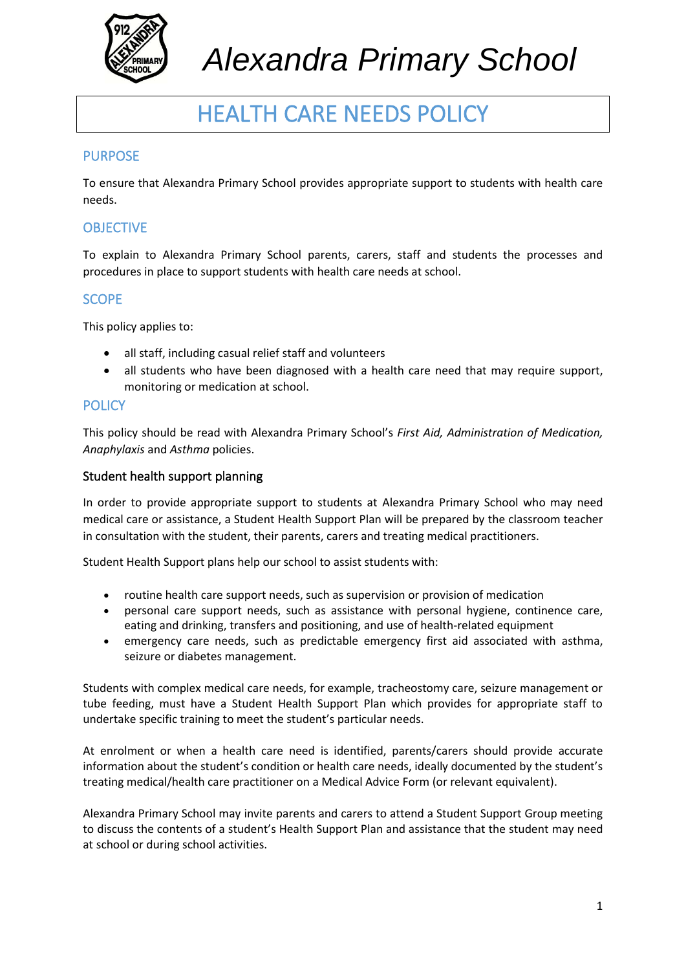

# *Alexandra Primary School*

# HEALTH CARE NEEDS POLICY

#### PURPOSE

To ensure that Alexandra Primary School provides appropriate support to students with health care needs.

#### **OBJECTIVE**

To explain to Alexandra Primary School parents, carers, staff and students the processes and procedures in place to support students with health care needs at school.

#### **SCOPE**

This policy applies to:

- all staff, including casual relief staff and volunteers
- all students who have been diagnosed with a health care need that may require support, monitoring or medication at school.

#### **POLICY**

This policy should be read with Alexandra Primary School's *First Aid, Administration of Medication, Anaphylaxis* and *Asthma* policies.

#### Student health support planning

In order to provide appropriate support to students at Alexandra Primary School who may need medical care or assistance, a Student Health Support Plan will be prepared by the classroom teacher in consultation with the student, their parents, carers and treating medical practitioners.

Student Health Support plans help our school to assist students with:

- routine health care support needs, such as supervision or provision of medication
- personal care support needs, such as assistance with personal hygiene, continence care, eating and drinking, transfers and positioning, and use of health-related equipment
- emergency care needs, such as predictable emergency first aid associated with asthma, seizure or diabetes management.

Students with complex medical care needs, for example, tracheostomy care, seizure management or tube feeding, must have a Student Health Support Plan which provides for appropriate staff to undertake specific training to meet the student's particular needs.

At enrolment or when a health care need is identified, parents/carers should provide accurate information about the student's condition or health care needs, ideally documented by the student's treating medical/health care practitioner on a Medical Advice Form (or relevant equivalent).

Alexandra Primary School may invite parents and carers to attend a Student Support Group meeting to discuss the contents of a student's Health Support Plan and assistance that the student may need at school or during school activities.